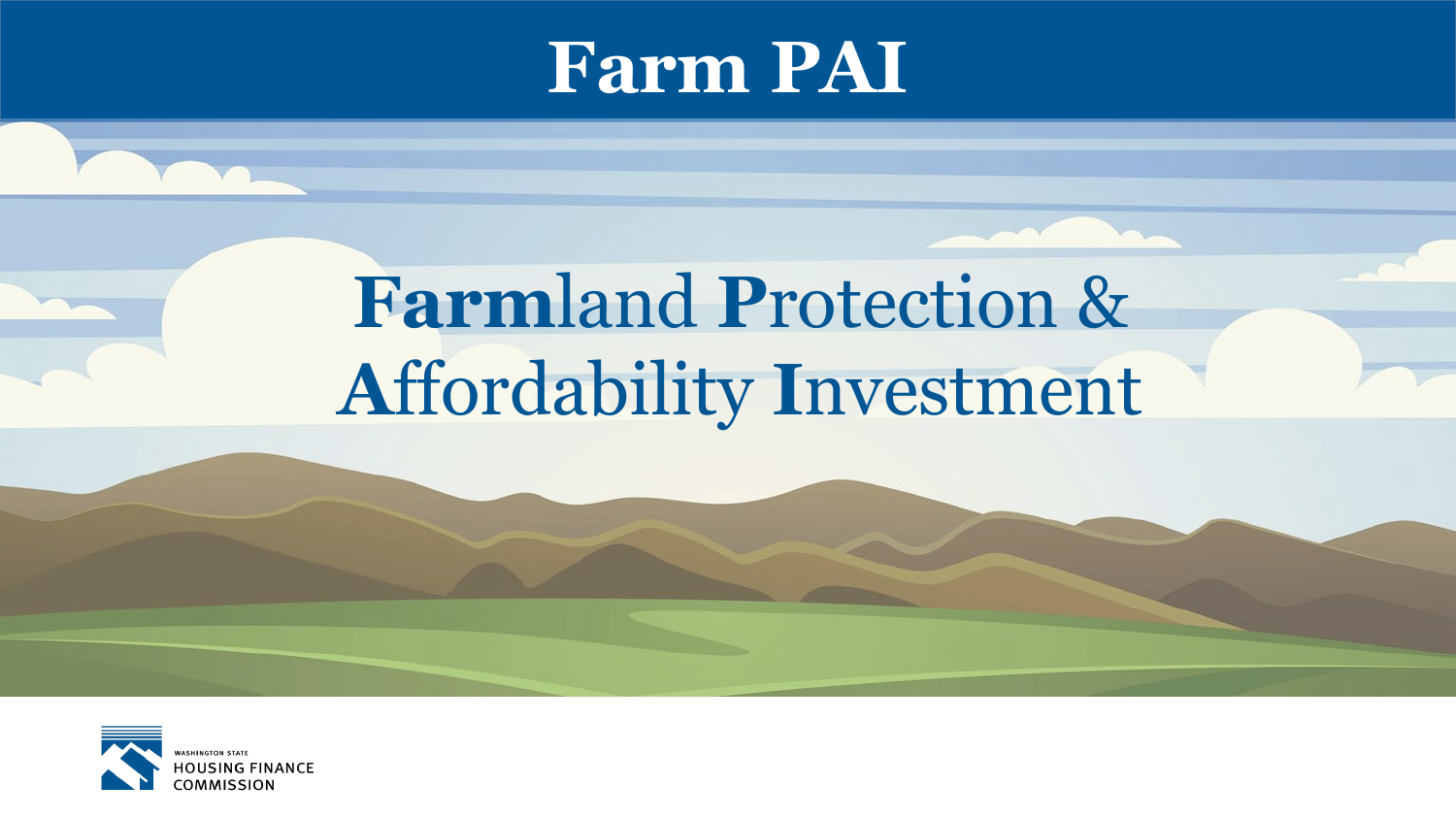

# **Farmland Protection & Affordability Investment**

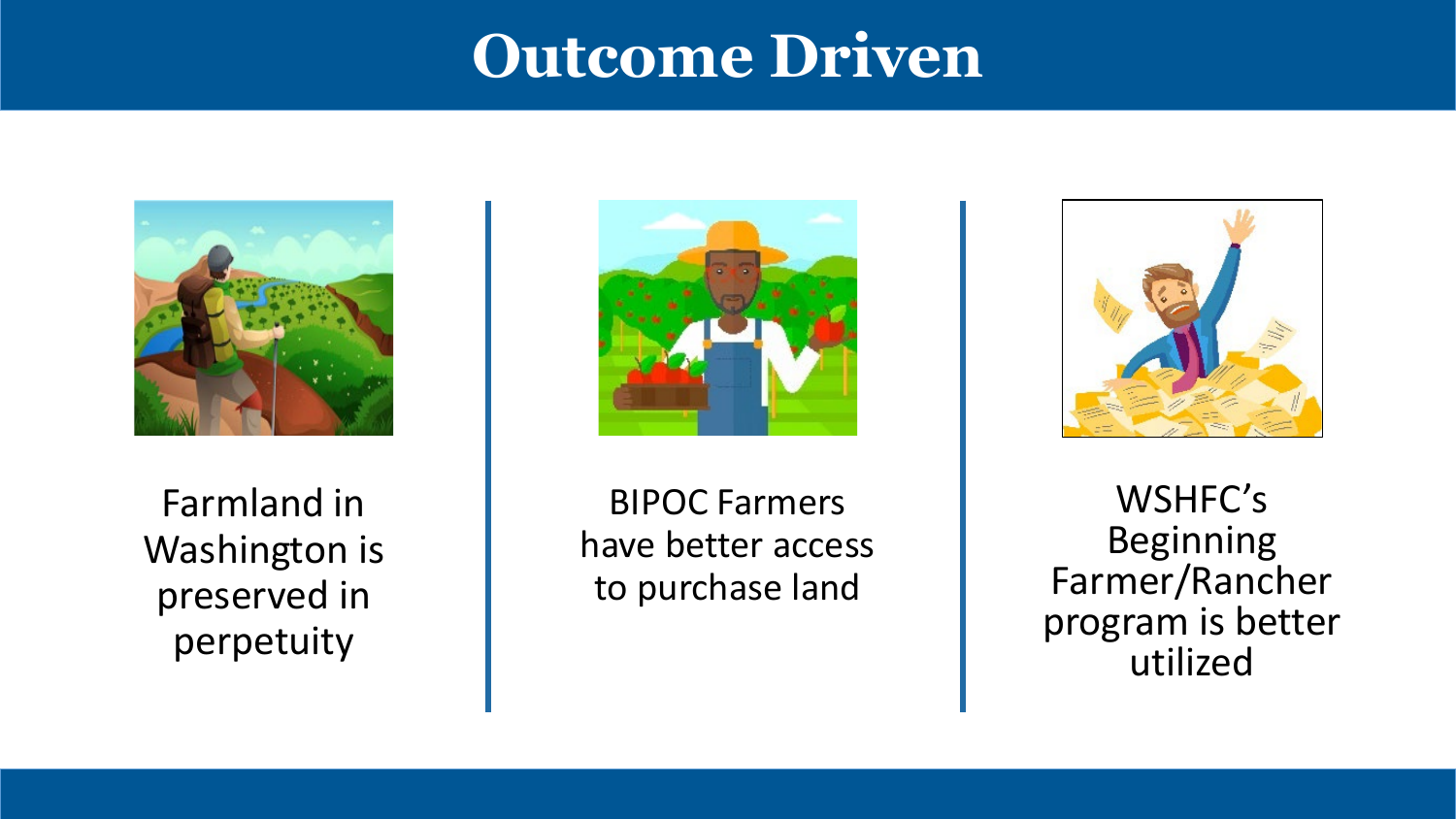## **Outcome Driven**



Farmland in Washington is preserved in perpetuity



BIPOC Farmers have better access to purchase land



WSHFC's Beginning Farmer/Rancher program is better utilized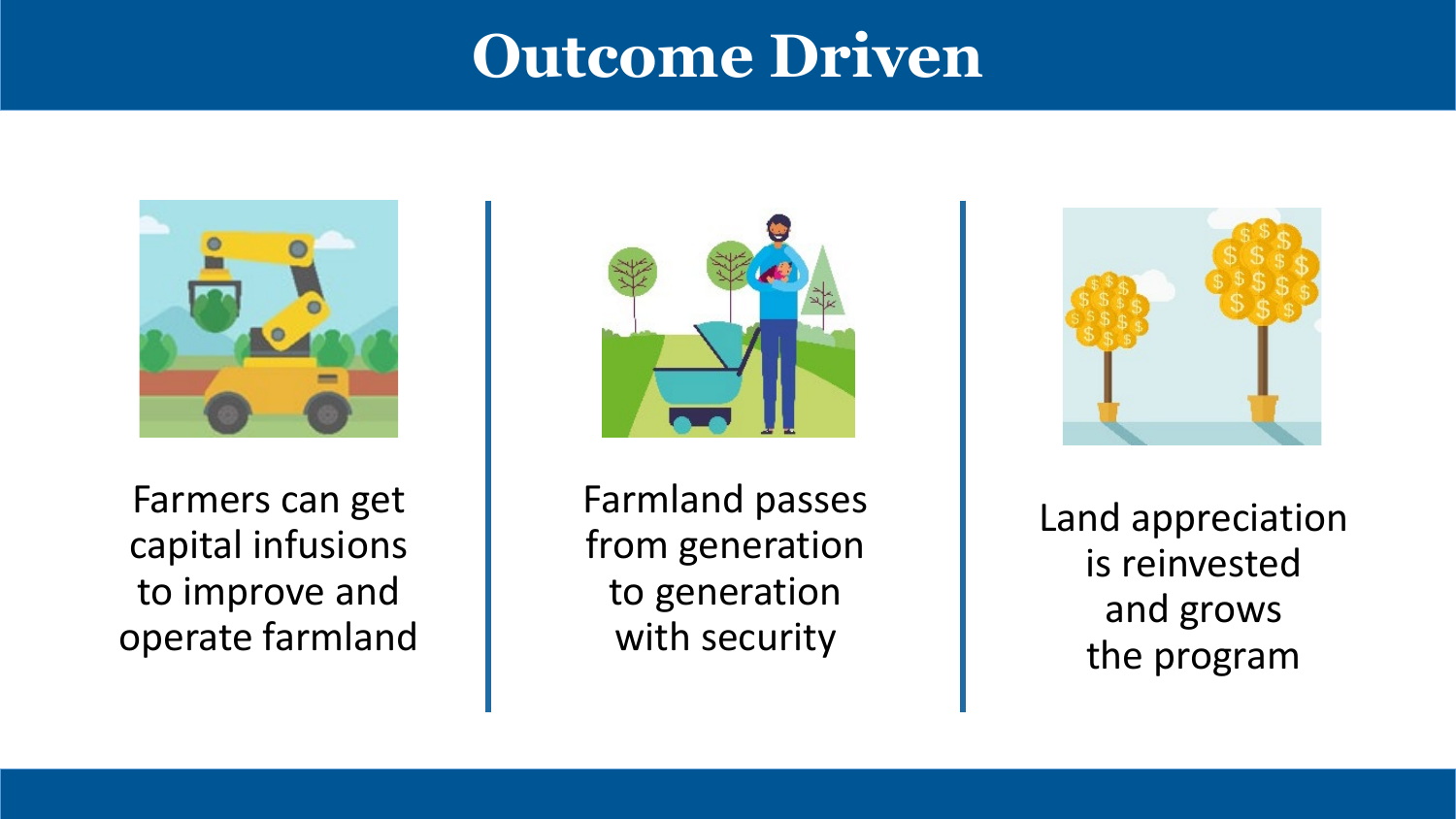## **Outcome Driven**



Farmers can get capital infusions to improve and operate farmland



Farmland passes from generation to generation with security



Land appreciation is reinvested and grows the program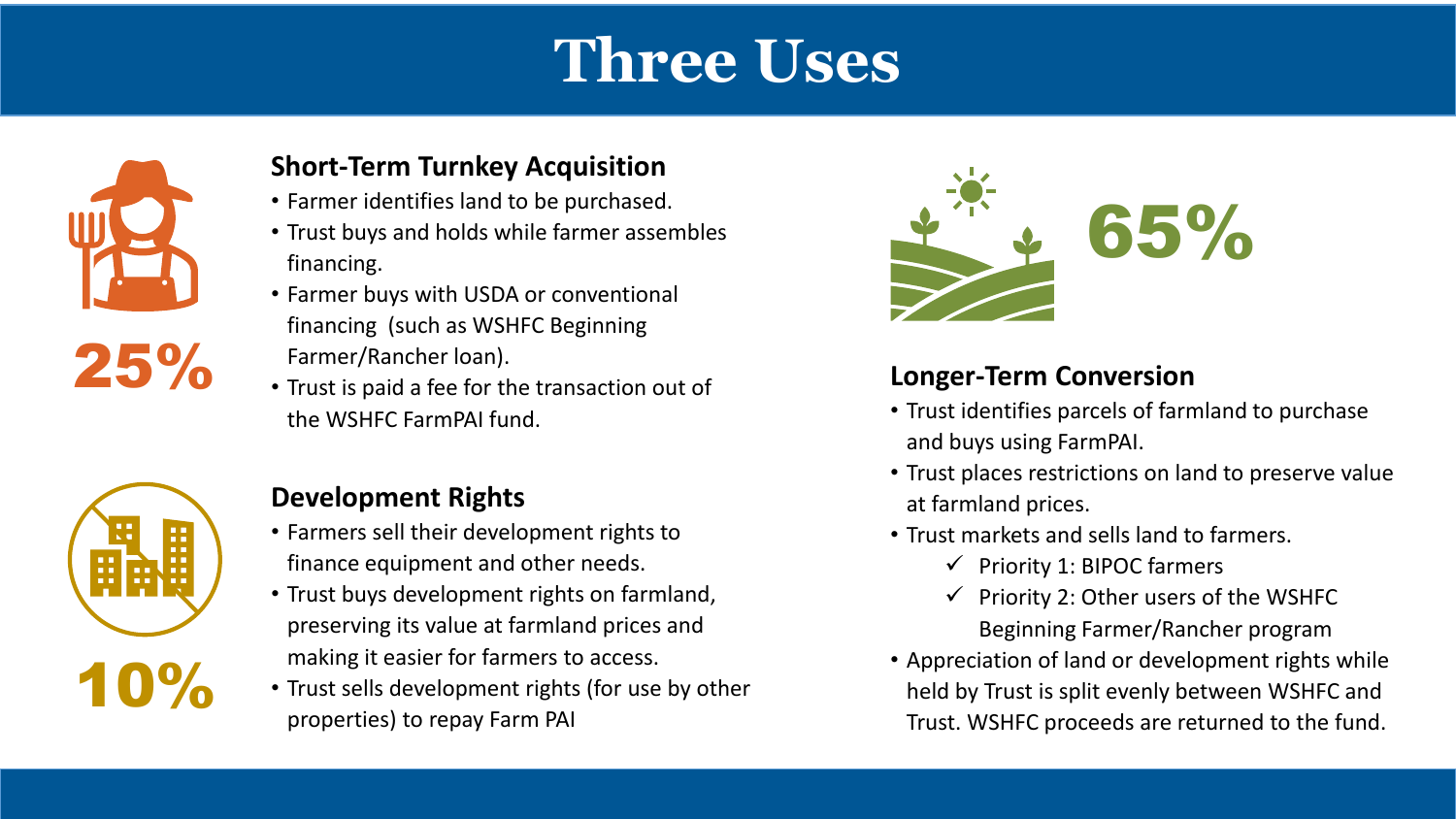# **Three Uses**



#### **Short-Term Turnkey Acquisition**

- Farmer identifies land to be purchased.
- Trust buys and holds while farmer assembles financing.
- Farmer buys with USDA or conventional financing (such as WSHFC Beginning Farmer/Rancher loan).
- Trust is paid a fee for the transaction out of the WSHFC FarmPAI fund.



#### **Development Rights**

- Farmers sell their development rights to finance equipment and other needs.
- Trust buys development rights on farmland, preserving its value at farmland prices and making it easier for farmers to access.
- Trust sells development rights (for use by other properties) to repay Farm PAI



#### **Longer-Term Conversion**

- Trust identifies parcels of farmland to purchase and buys using FarmPAI.
- Trust places restrictions on land to preserve value at farmland prices.
- Trust markets and sells land to farmers.
	- $\checkmark$  Priority 1: BIPOC farmers
	- $\checkmark$  Priority 2: Other users of the WSHFC Beginning Farmer/Rancher program
- Appreciation of land or development rights while held by Trust is split evenly between WSHFC and Trust. WSHFC proceeds are returned to the fund.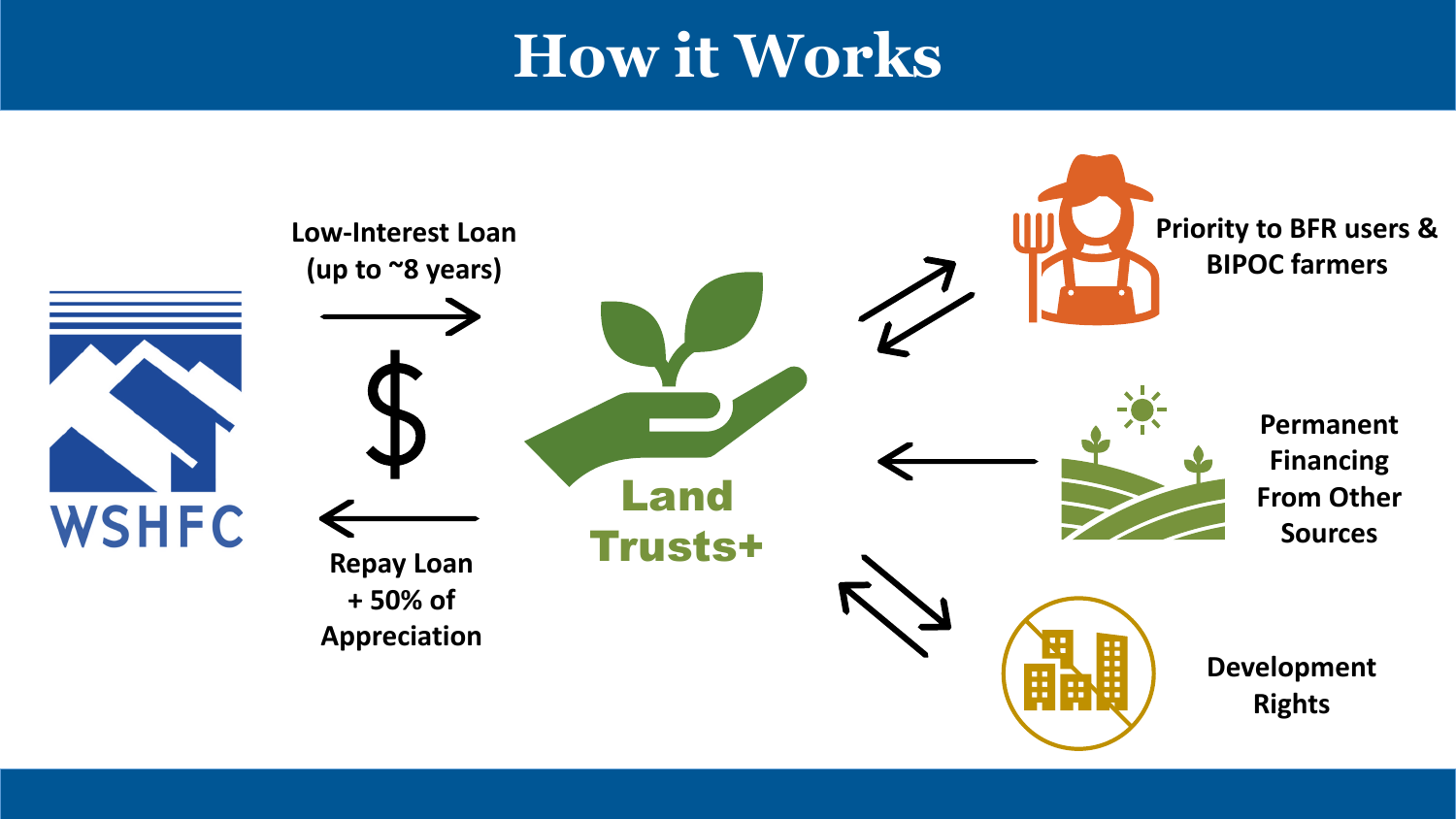# **How it Works**